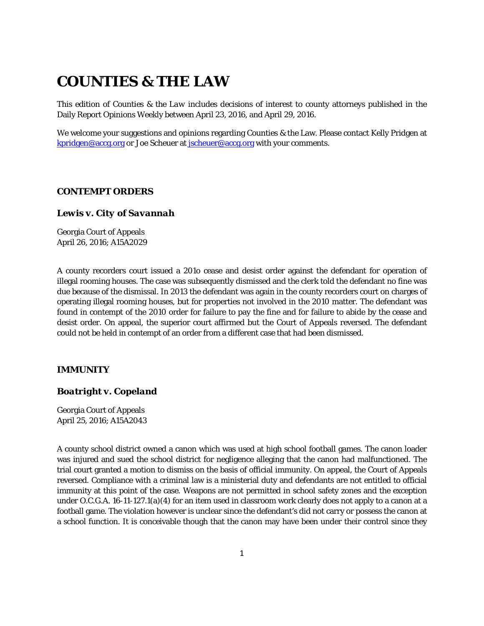# **COUNTIES & THE LAW**

This edition of *Counties & the Law* includes decisions of interest to county attorneys published in the Daily Report Opinions Weekly between April 23, 2016, and April 29, 2016.

We welcome your suggestions and opinions regarding Counties & the Law. Please contact Kelly Pridgen at [kpridgen@accg.org](mailto:kpridgen@accg.org) or Joe Scheuer at [jscheuer@accg.org](mailto:jscheuer@accg.org) with your comments.

## *CONTEMPT ORDERS*

# *Lewis v. City of Savannah*

Georgia Court of Appeals April 26, 2016; A15A2029

A county recorders court issued a 201o cease and desist order against the defendant for operation of illegal rooming houses. The case was subsequently dismissed and the clerk told the defendant no fine was due because of the dismissal. In 2013 the defendant was again in the county recorders court on charges of operating illegal rooming houses, but for properties not involved in the 2010 matter. The defendant was found in contempt of the 2010 order for failure to pay the fine and for failure to abide by the cease and desist order. On appeal, the superior court affirmed but the Court of Appeals reversed. The defendant could not be held in contempt of an order from a different case that had been dismissed.

## *IMMUNITY*

#### *Boatright v. Copeland*

Georgia Court of Appeals April 25, 2016; A15A2043

A county school district owned a canon which was used at high school football games. The canon loader was injured and sued the school district for negligence alleging that the canon had malfunctioned. The trial court granted a motion to dismiss on the basis of official immunity. On appeal, the Court of Appeals reversed. Compliance with a criminal law is a ministerial duty and defendants are not entitled to official immunity at this point of the case. Weapons are not permitted in school safety zones and the exception under O.C.G.A. 16-11-127.1(a)(4) for an item used in classroom work clearly does not apply to a canon at a football game. The violation however is unclear since the defendant's did not carry or possess the canon at a school function. It is conceivable though that the canon may have been under their control since they